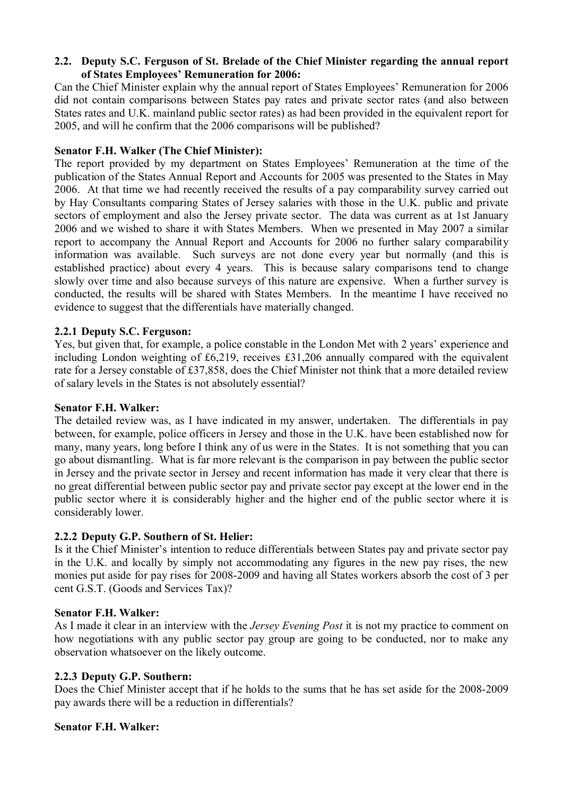### **2.2.** � **Deputy S.C. Ferguson of St. Brelade of the Chief Minister regarding the annual report of States Employees' Remuneration for 2006:**

Can the Chief Minister explain why the annual report of States Employees' Remuneration for 2006 did not contain comparisons between States pay rates and private sector rates (and also between States rates and U.K. mainland public sector rates) as had been provided in the equivalent report for 2005, and will he confirm that the 2006 comparisons will be published?

### **Senator F.H. Walker (The Chief Minister):**

The report provided by my department on States Employees' Remuneration at the time of the publication of the States Annual Report and Accounts for 2005 was presented to the States in May 2006. At that time we had recently received the results of a pay comparability survey carried out by Hay Consultants comparing States of Jersey salaries with those in the U.K. public and private sectors of employment and also the Jersey private sector. The data was current as at 1st January 2006 and we wished to share it with States Members. When we presented in May 2007 a similar report to accompany the Annual Report and Accounts for 2006 no further salary comparability information was available. Such surveys are not done every year but normally (and this is established practice) about every 4 years. This is because salary comparisons tend to change slowly over time and also because surveys of this nature are expensive. When a further survey is conducted, the results will be shared with States Members. In the meantime I have received no evidence to suggest that the differentials have materially changed.

# **2.2.1 Deputy S.C. Ferguson:**

Yes, but given that, for example, a police constable in the London Met with 2 years' experience and including London weighting of £6,219, receives £31,206 annually compared with the equivalent rate for a Jersey constable of £37,858, does the Chief Minister not think that a more detailed review of salary levels in the States is not absolutely essential?

### **Senator F.H. Walker:**

The detailed review was, as I have indicated in my answer, undertaken. The differentials in pay between, for example, police officers in Jersey and those in the U.K. have been established now for many, many years, long before I think any of us were in the States. It is not something that you can go about dismantling. What is far more relevant is the comparison in pay between the public sector in Jersey and the private sector in Jersey and recent information has made it very clear that there is no great differential between public sector pay and private sector pay except at the lower end in the public sector where it is considerably higher and the higher end of the public sector where it is considerably lower.

### **2.2.2 Deputy G.P. Southern of St. Helier:**

Is it the Chief Minister's intention to reduce differentials between States pay and private sector pay in the U.K. and locally by simply not accommodating any figures in the new pay rises, the new monies put aside for pay rises for 2008-2009 and having all States workers absorb the cost of 3 per cent G.S.T. (Goods and Services Tax)?

### **Senator F.H. Walker:**

As I made it clear in an interview with the *Jersey Evening Post* it is not my practice to comment on how negotiations with any public sector pay group are going to be conducted, nor to make any observation whatsoever on the likely outcome.

### **2.2.3 Deputy G.P. Southern:**

Does the Chief Minister accept that if he holds to the sums that he has set aside for the 2008-2009 pay awards there will be a reduction in differentials?

### **Senator F.H. Walker:**